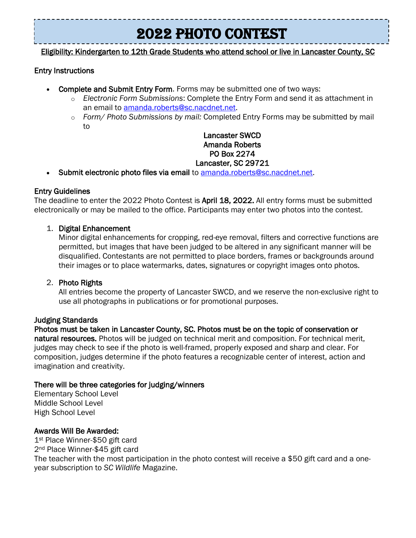# 2022 Photo Contest

Eligibility: Kindergarten to 12th Grade Students who attend school or live in Lancaster County, SC

# Entry Instructions

- Complete and Submit Entry Form. Forms may be submitted one of two ways:
	- o *Electronic Form Submissions*: Complete the Entry Form and send it as attachment in an email to [amanda.roberts@sc.nacdnet.net.](mailto:amanda.roberts@sc.nacdnet.net)
	- o *Form/ Photo Submissions by mail:* Completed Entry Forms may be submitted by mail to

#### Lancaster SWCD Amanda Roberts PO Box 2274 Lancaster, SC 29721

• Submit electronic photo files via email to amanda.roberts@sc.nacdnet.net.

#### Entry Guidelines

The deadline to enter the 2022 Photo Contest is April 18, 2022. All entry forms must be submitted electronically or may be mailed to the office. Participants may enter two photos into the contest.

## 1. Digital Enhancement

Minor digital enhancements for cropping, red-eye removal, filters and corrective functions are permitted, but images that have been judged to be altered in any significant manner will be disqualified. Contestants are not permitted to place borders, frames or backgrounds around their images or to place watermarks, dates, signatures or copyright images onto photos.

## 2. Photo Rights

All entries become the property of Lancaster SWCD, and we reserve the non-exclusive right to use all photographs in publications or for promotional purposes.

#### Judging Standards

Photos must be taken in Lancaster County, SC. Photos must be on the topic of conservation or natural resources. Photos will be judged on technical merit and composition. For technical merit, judges may check to see if the photo is well-framed, properly exposed and sharp and clear. For composition, judges determine if the photo features a recognizable center of interest, action and imagination and creativity.

## There will be three categories for judging/winners

Elementary School Level Middle School Level High School Level

## Awards Will Be Awarded:

1st Place Winner-\$50 gift card 2nd Place Winner-\$45 gift card The teacher with the most participation in the photo contest will receive a \$50 gift card and a oneyear subscription to *SC Wildlife* Magazine.